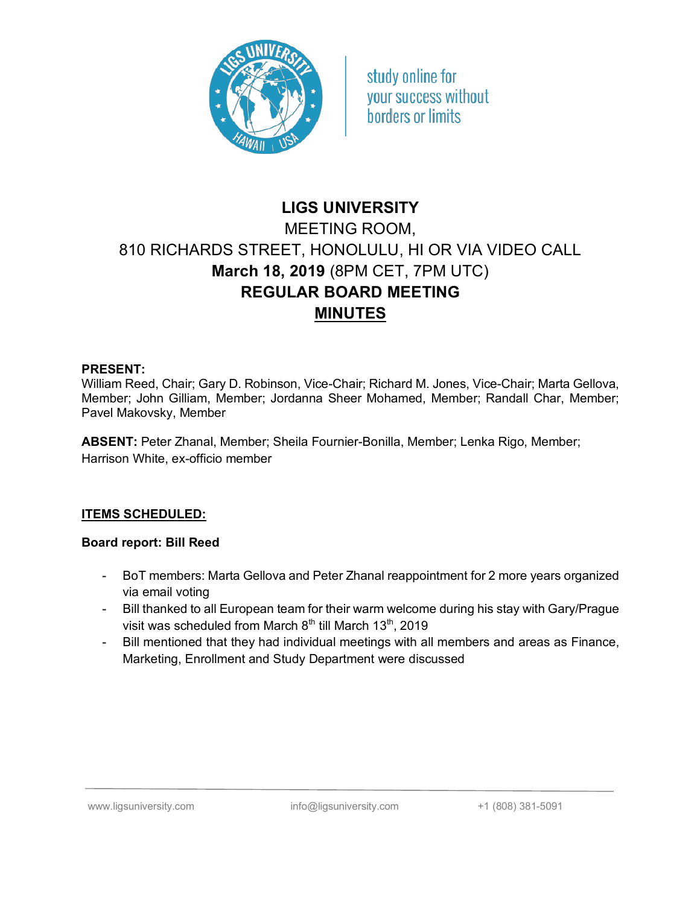

study online for your success without borders or limits

# **LIGS UNIVERSITY** MEETING ROOM, 810 RICHARDS STREET, HONOLULU, HI OR VIA VIDEO CALL **March 18, 2019** (8PM CET, 7PM UTC) **REGULAR BOARD MEETING MINUTES**

#### **PRESENT:**

William Reed, Chair; Gary D. Robinson, Vice-Chair; Richard M. Jones, Vice-Chair; Marta Gellova, Member; John Gilliam, Member; Jordanna Sheer Mohamed, Member; Randall Char, Member; Pavel Makovsky, Member

**ABSENT:** Peter Zhanal, Member; Sheila Fournier-Bonilla, Member; Lenka Rigo, Member; Harrison White, ex-officio member

## **ITEMS SCHEDULED:**

## **Board report: Bill Reed**

- BoT members: Marta Gellova and Peter Zhanal reappointment for 2 more years organized via email voting
- Bill thanked to all European team for their warm welcome during his stay with Gary/Prague visit was scheduled from March  $8<sup>th</sup>$  till March 13<sup>th</sup>, 2019
- Bill mentioned that they had individual meetings with all members and areas as Finance, Marketing, Enrollment and Study Department were discussed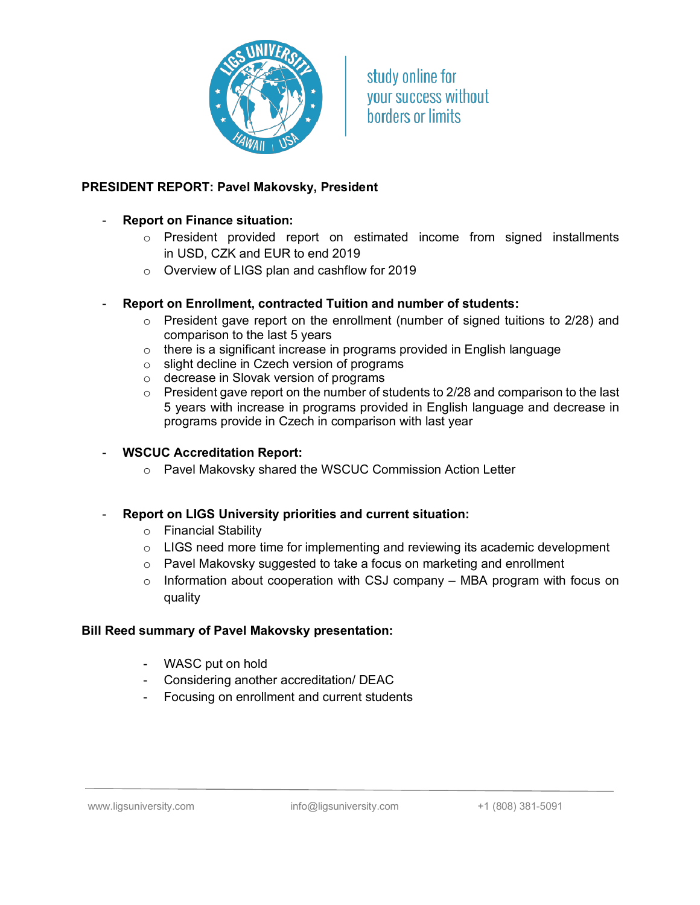

study online for vour success without **horders or limits** 

## **PRESIDENT REPORT: Pavel Makovsky, President**

#### - **Report on Finance situation:**

- $\circ$  President provided report on estimated income from signed installments in USD, CZK and EUR to end 2019
- o Overview of LIGS plan and cashflow for 2019
- **Report on Enrollment, contracted Tuition and number of students:**
	- o President gave report on the enrollment (number of signed tuitions to 2/28) and comparison to the last 5 years
	- o there is a significant increase in programs provided in English language
	- o slight decline in Czech version of programs
	- o decrease in Slovak version of programs
	- $\circ$  President gave report on the number of students to 2/28 and comparison to the last 5 years with increase in programs provided in English language and decrease in programs provide in Czech in comparison with last year

#### - **WSCUC Accreditation Report:**

o Pavel Makovsky shared the WSCUC Commission Action Letter

#### - **Report on LIGS University priorities and current situation:**

- o Financial Stability
- o LIGS need more time for implementing and reviewing its academic development
- o Pavel Makovsky suggested to take a focus on marketing and enrollment
- $\circ$  Information about cooperation with CSJ company MBA program with focus on quality

#### **Bill Reed summary of Pavel Makovsky presentation:**

- WASC put on hold
- Considering another accreditation/ DEAC
- Focusing on enrollment and current students